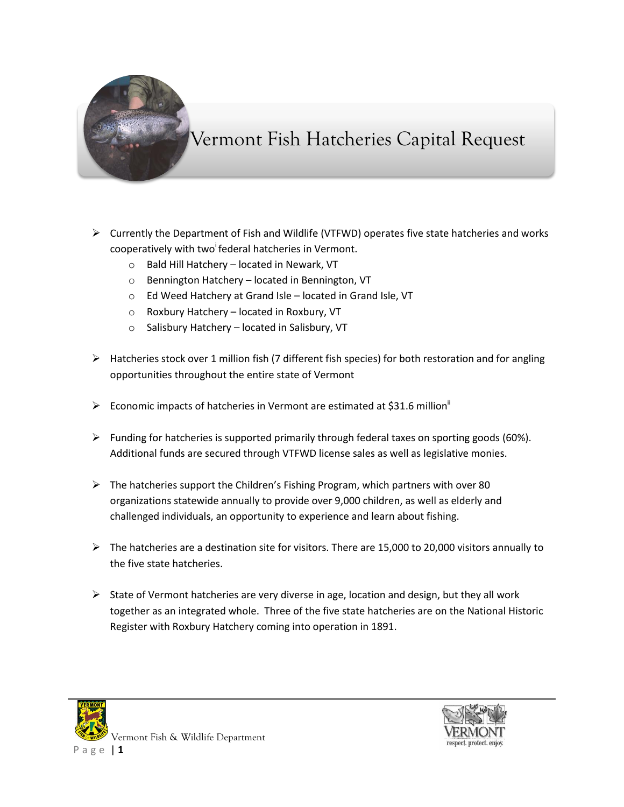

## Vermont Fish Hatcheries Capital Request

- $\triangleright$  Currently the Department of Fish and Wildlife (VTFWD) operates five state hatcheries and works cooperatively with two federal hatcheries in Vermont.
	- o Bald Hill Hatchery located in Newark, VT
	- o Bennington Hatchery located in Bennington, VT
	- o Ed Weed Hatchery at Grand Isle located in Grand Isle, VT
	- o Roxbury Hatchery located in Roxbury, VT
	- o Salisbury Hatchery located in Salisbury, VT
- $\triangleright$  Hatcheries stock over 1 million fish (7 different fish species) for both restoration and for angling opportunities throughout the entire state of Vermont
- Economic impacts of hatcheries in Vermont are estimated at \$31.6 million<sup>ii</sup>
- $\triangleright$  Funding for hatcheries is supported primarily through federal taxes on sporting goods (60%). Additional funds are secured through VTFWD license sales as well as legislative monies.
- $\triangleright$  The hatcheries support the Children's Fishing Program, which partners with over 80 organizations statewide annually to provide over 9,000 children, as well as elderly and challenged individuals, an opportunity to experience and learn about fishing.
- The hatcheries are a destination site for visitors. There are 15,000 to 20,000 visitors annually to the five state hatcheries.
- $\triangleright$  State of Vermont hatcheries are very diverse in age, location and design, but they all work together as an integrated whole. Three of the five state hatcheries are on the National Historic Register with Roxbury Hatchery coming into operation in 1891.